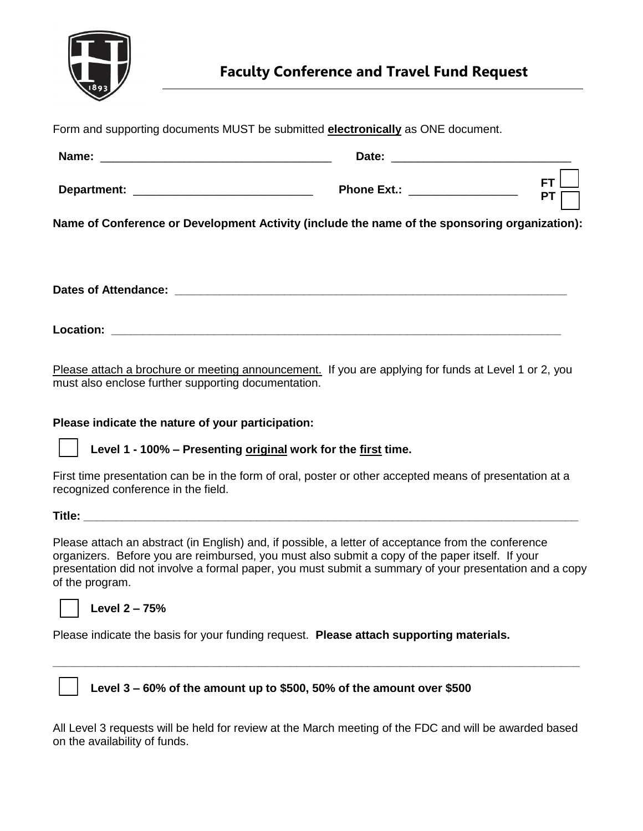

| Form and supporting documents MUST be submitted <b>electronically</b> as ONE document.        |                        |  |
|-----------------------------------------------------------------------------------------------|------------------------|--|
|                                                                                               |                        |  |
| Phone Ext.: ___________________                                                               | <b>FT</b><br><b>PT</b> |  |
| Name of Conference or Development Activity (include the name of the sponsoring organization): |                        |  |
|                                                                                               |                        |  |
|                                                                                               |                        |  |
|                                                                                               |                        |  |

Please attach a brochure or meeting announcement. If you are applying for funds at Level 1 or 2, you must also enclose further supporting documentation.

## **Please indicate the nature of your participation:**

**Level 1 - 100% – Presenting original work for the first time.**

First time presentation can be in the form of oral, poster or other accepted means of presentation at a recognized conference in the field.

**Title: \_\_\_\_\_\_\_\_\_\_\_\_\_\_\_\_\_\_\_\_\_\_\_\_\_\_\_\_\_\_\_\_\_\_\_\_\_\_\_\_\_\_\_\_\_\_\_\_\_\_\_\_\_\_\_\_\_\_\_\_\_\_\_\_\_\_\_\_\_\_\_\_\_\_\_\_\_** 

Please attach an abstract (in English) and, if possible, a letter of acceptance from the conference organizers. Before you are reimbursed, you must also submit a copy of the paper itself. If your presentation did not involve a formal paper, you must submit a summary of your presentation and a copy of the program.



**Level 2 – 75%**

Please indicate the basis for your funding request. **Please attach supporting materials.**



**Level 3 – 60% of the amount up to \$500, 50% of the amount over \$500**

All Level 3 requests will be held for review at the March meeting of the FDC and will be awarded based on the availability of funds.

**\_\_\_\_\_\_\_\_\_\_\_\_\_\_\_\_\_\_\_\_\_\_\_\_\_\_\_\_\_\_\_\_\_\_\_\_\_\_\_\_\_\_\_\_\_\_\_\_\_\_\_\_\_\_\_\_\_\_\_\_\_\_\_\_\_\_\_\_\_\_\_\_\_\_\_\_\_\_\_\_\_\_**